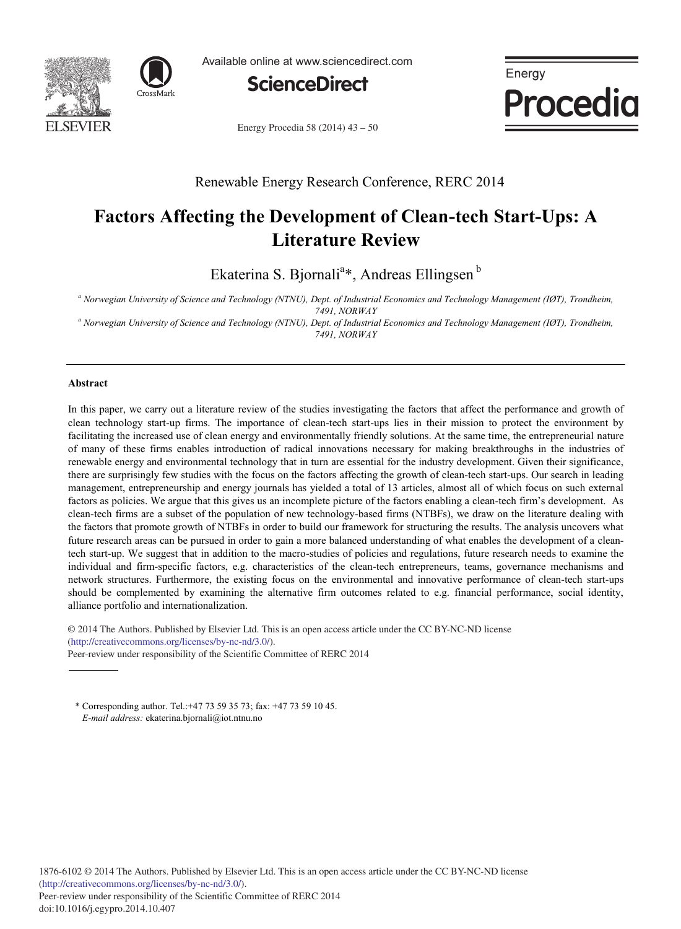



Available online at www.sciencedirect.com



Energy **Procedia** 

Energy Procedia 58 (2014)  $43 - 50$ 

# Renewable Energy Research Conference, RERC 2014

# **Factors Affecting the Development of Clean-tech Start-Ups: A Literature Review**

Ekaterina S. Bjornali<sup>a\*</sup>, Andreas Ellingsen<sup>b</sup>

*<sup>a</sup> Norwegian University of Science and Technology (NTNU), Dept. of Industrial Economics and Technology Management (IØT), Trondheim, 7491, NORWAY*

*<sup>a</sup> Norwegian University of Science and Technology (NTNU), Dept. of Industrial Economics and Technology Management (IØT), Trondheim, 7491, NORWAY* 

# **Abstract**

In this paper, we carry out a literature review of the studies investigating the factors that affect the performance and growth of clean technology start-up firms. The importance of clean-tech start-ups lies in their mission to protect the environment by facilitating the increased use of clean energy and environmentally friendly solutions. At the same time, the entrepreneurial nature of many of these firms enables introduction of radical innovations necessary for making breakthroughs in the industries of renewable energy and environmental technology that in turn are essential for the industry development. Given their significance, there are surprisingly few studies with the focus on the factors affecting the growth of clean-tech start-ups. Our search in leading management, entrepreneurship and energy journals has yielded a total of 13 articles, almost all of which focus on such external factors as policies. We argue that this gives us an incomplete picture of the factors enabling a clean-tech firm's development. As clean-tech firms are a subset of the population of new technology-based firms (NTBFs), we draw on the literature dealing with the factors that promote growth of NTBFs in order to build our framework for structuring the results. The analysis uncovers what future research areas can be pursued in order to gain a more balanced understanding of what enables the development of a cleantech start-up. We suggest that in addition to the macro-studies of policies and regulations, future research needs to examine the individual and firm-specific factors, e.g. characteristics of the clean-tech entrepreneurs, teams, governance mechanisms and network structures. Furthermore, the existing focus on the environmental and innovative performance of clean-tech start-ups should be complemented by examining the alternative firm outcomes related to e.g. financial performance, social identity, alliance portfolio and internationalization.

© 2014 The Authors. Published by Elsevier Ltd. © 2014 The Authors. Published by Elsevier Ltd. This is an open access article under the CC BY-NC-ND license (http://creativecommons.org/licenses/by-nc-nd/3.0/). Peer-review under responsibility of the Scientific Committee of RERC 2014

\* Corresponding author. Tel.:+47 73 59 35 73; fax: +47 73 59 10 45.

*E-mail address:* ekaterina.bjornali@iot.ntnu.no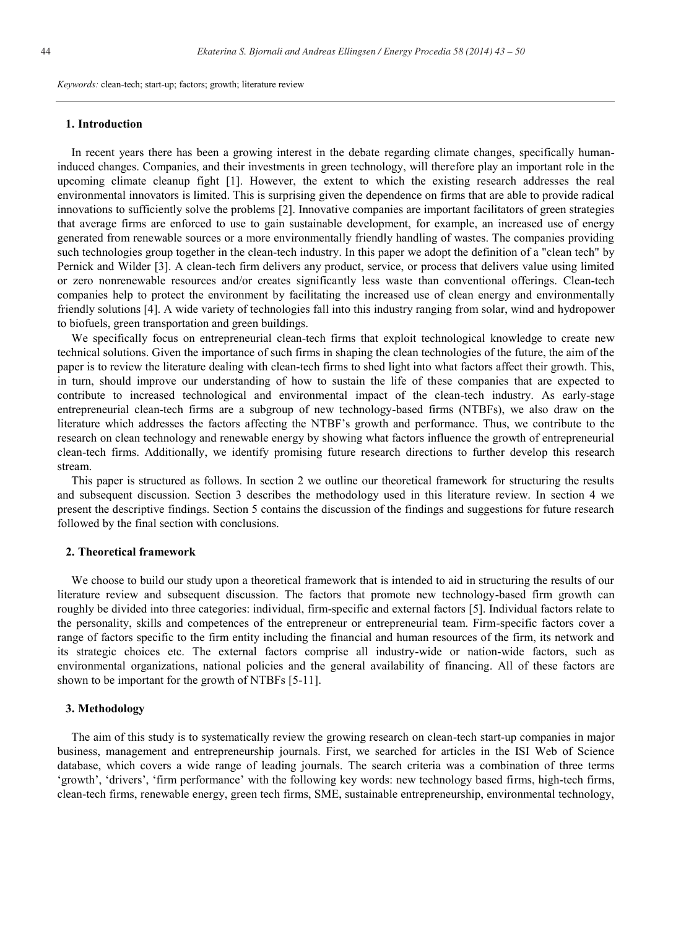*Keywords:* clean-tech; start-up; factors; growth; literature review

#### **1. Introduction**

In recent years there has been a growing interest in the debate regarding climate changes, specifically humaninduced changes. Companies, and their investments in green technology, will therefore play an important role in the upcoming climate cleanup fight [1]. However, the extent to which the existing research addresses the real environmental innovators is limited. This is surprising given the dependence on firms that are able to provide radical innovations to sufficiently solve the problems [2]. Innovative companies are important facilitators of green strategies that average firms are enforced to use to gain sustainable development, for example, an increased use of energy generated from renewable sources or a more environmentally friendly handling of wastes. The companies providing such technologies group together in the clean-tech industry. In this paper we adopt the definition of a "clean tech" by Pernick and Wilder [3]. A clean-tech firm delivers any product, service, or process that delivers value using limited or zero nonrenewable resources and/or creates significantly less waste than conventional offerings. Clean-tech companies help to protect the environment by facilitating the increased use of clean energy and environmentally friendly solutions [4]. A wide variety of technologies fall into this industry ranging from solar, wind and hydropower to biofuels, green transportation and green buildings.

We specifically focus on entrepreneurial clean-tech firms that exploit technological knowledge to create new technical solutions. Given the importance of such firms in shaping the clean technologies of the future, the aim of the paper is to review the literature dealing with clean-tech firms to shed light into what factors affect their growth. This, in turn, should improve our understanding of how to sustain the life of these companies that are expected to contribute to increased technological and environmental impact of the clean-tech industry. As early-stage entrepreneurial clean-tech firms are a subgroup of new technology-based firms (NTBFs), we also draw on the literature which addresses the factors affecting the NTBF's growth and performance. Thus, we contribute to the research on clean technology and renewable energy by showing what factors influence the growth of entrepreneurial clean-tech firms. Additionally, we identify promising future research directions to further develop this research stream.

This paper is structured as follows. In section 2 we outline our theoretical framework for structuring the results and subsequent discussion. Section 3 describes the methodology used in this literature review. In section 4 we present the descriptive findings. Section 5 contains the discussion of the findings and suggestions for future research followed by the final section with conclusions.

# **2. Theoretical framework**

We choose to build our study upon a theoretical framework that is intended to aid in structuring the results of our literature review and subsequent discussion. The factors that promote new technology-based firm growth can roughly be divided into three categories: individual, firm-specific and external factors [5]. Individual factors relate to the personality, skills and competences of the entrepreneur or entrepreneurial team. Firm-specific factors cover a range of factors specific to the firm entity including the financial and human resources of the firm, its network and its strategic choices etc. The external factors comprise all industry-wide or nation-wide factors, such as environmental organizations, national policies and the general availability of financing. All of these factors are shown to be important for the growth of NTBFs [5-11].

#### **3. Methodology**

The aim of this study is to systematically review the growing research on clean-tech start-up companies in major business, management and entrepreneurship journals. First, we searched for articles in the ISI Web of Science database, which covers a wide range of leading journals. The search criteria was a combination of three terms 'growth', 'drivers', 'firm performance' with the following key words: new technology based firms, high-tech firms, clean-tech firms, renewable energy, green tech firms, SME, sustainable entrepreneurship, environmental technology,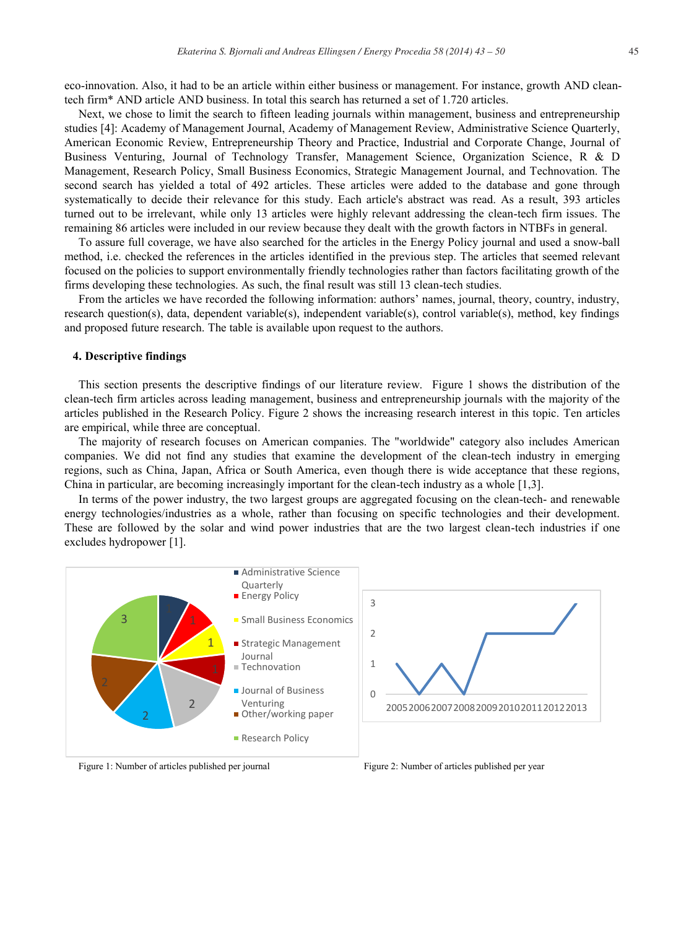eco-innovation. Also, it had to be an article within either business or management. For instance, growth AND cleantech firm<sup>\*</sup> AND article AND business. In total this search has returned a set of 1.720 articles.

Next, we chose to limit the search to fifteen leading journals within management, business and entrepreneurship studies [4]: Academy of Management Journal, Academy of Management Review, Administrative Science Quarterly, American Economic Review, Entrepreneurship Theory and Practice, Industrial and Corporate Change, Journal of Business Venturing, Journal of Technology Transfer, Management Science, Organization Science, R & D Management, Research Policy, Small Business Economics, Strategic Management Journal, and Technovation. The second search has yielded a total of 492 articles. These articles were added to the database and gone through systematically to decide their relevance for this study. Each article's abstract was read. As a result, 393 articles turned out to be irrelevant, while only 13 articles were highly relevant addressing the clean-tech firm issues. The remaining 86 articles were included in our review because they dealt with the growth factors in NTBFs in general.

To assure full coverage, we have also searched for the articles in the Energy Policy journal and used a snow-ball method, i.e. checked the references in the articles identified in the previous step. The articles that seemed relevant focused on the policies to support environmentally friendly technologies rather than factors facilitating growth of the firms developing these technologies. As such, the final result was still 13 clean-tech studies.

From the articles we have recorded the following information: authors' names, journal, theory, country, industry, research question(s), data, dependent variable(s), independent variable(s), control variable(s), method, key findings and proposed future research. The table is available upon request to the authors.

# **4. Descriptive findings**

This section presents the descriptive findings of our literature review. Figure 1 shows the distribution of the clean-tech firm articles across leading management, business and entrepreneurship journals with the majority of the articles published in the Research Policy. Figure 2 shows the increasing research interest in this topic. Ten articles are empirical, while three are conceptual.

The majority of research focuses on American companies. The "worldwide" category also includes American companies. We did not find any studies that examine the development of the clean-tech industry in emerging regions, such as China, Japan, Africa or South America, even though there is wide acceptance that these regions, China in particular, are becoming increasingly important for the clean-tech industry as a whole [1,3].

In terms of the power industry, the two largest groups are aggregated focusing on the clean-tech- and renewable energy technologies/industries as a whole, rather than focusing on specific technologies and their development. These are followed by the solar and wind power industries that are the two largest clean-tech industries if one excludes hydropower [1].





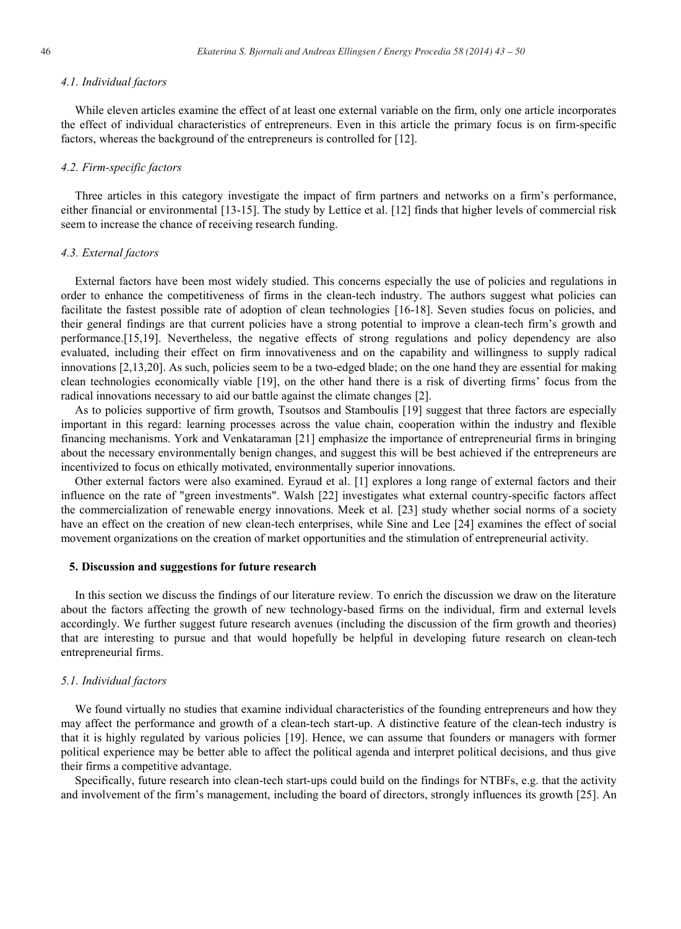# *4.1. Individual factors*

While eleven articles examine the effect of at least one external variable on the firm, only one article incorporates the effect of individual characteristics of entrepreneurs. Even in this article the primary focus is on firm-specific factors, whereas the background of the entrepreneurs is controlled for [12].

#### *4.2. Firm-specific factors*

Three articles in this category investigate the impact of firm partners and networks on a firm's performance, either financial or environmental [13-15]. The study by Lettice et al. [12] finds that higher levels of commercial risk seem to increase the chance of receiving research funding.

#### *4.3. External factors*

External factors have been most widely studied. This concerns especially the use of policies and regulations in order to enhance the competitiveness of firms in the clean-tech industry. The authors suggest what policies can facilitate the fastest possible rate of adoption of clean technologies [16-18]. Seven studies focus on policies, and their general findings are that current policies have a strong potential to improve a clean-tech firm's growth and performance.[15,19]. Nevertheless, the negative effects of strong regulations and policy dependency are also evaluated, including their effect on firm innovativeness and on the capability and willingness to supply radical innovations [2,13,20]. As such, policies seem to be a two-edged blade; on the one hand they are essential for making clean technologies economically viable [19], on the other hand there is a risk of diverting firms' focus from the radical innovations necessary to aid our battle against the climate changes [2].

As to policies supportive of firm growth, Tsoutsos and Stamboulis [19] suggest that three factors are especially important in this regard: learning processes across the value chain, cooperation within the industry and flexible financing mechanisms. York and Venkataraman [21] emphasize the importance of entrepreneurial firms in bringing about the necessary environmentally benign changes, and suggest this will be best achieved if the entrepreneurs are incentivized to focus on ethically motivated, environmentally superior innovations.

Other external factors were also examined. Eyraud et al. [1] explores a long range of external factors and their influence on the rate of "green investments". Walsh [22] investigates what external country-specific factors affect the commercialization of renewable energy innovations. Meek et al. [23] study whether social norms of a society have an effect on the creation of new clean-tech enterprises, while Sine and Lee [24] examines the effect of social movement organizations on the creation of market opportunities and the stimulation of entrepreneurial activity.

# **5. Discussion and suggestions for future research**

In this section we discuss the findings of our literature review. To enrich the discussion we draw on the literature about the factors affecting the growth of new technology-based firms on the individual, firm and external levels accordingly. We further suggest future research avenues (including the discussion of the firm growth and theories) that are interesting to pursue and that would hopefully be helpful in developing future research on clean-tech entrepreneurial firms.

# *5.1. Individual factors*

We found virtually no studies that examine individual characteristics of the founding entrepreneurs and how they may affect the performance and growth of a clean-tech start-up. A distinctive feature of the clean-tech industry is that it is highly regulated by various policies [19]. Hence, we can assume that founders or managers with former political experience may be better able to affect the political agenda and interpret political decisions, and thus give their firms a competitive advantage.

Specifically, future research into clean-tech start-ups could build on the findings for NTBFs, e.g. that the activity and involvement of the firm's management, including the board of directors, strongly influences its growth [25]. An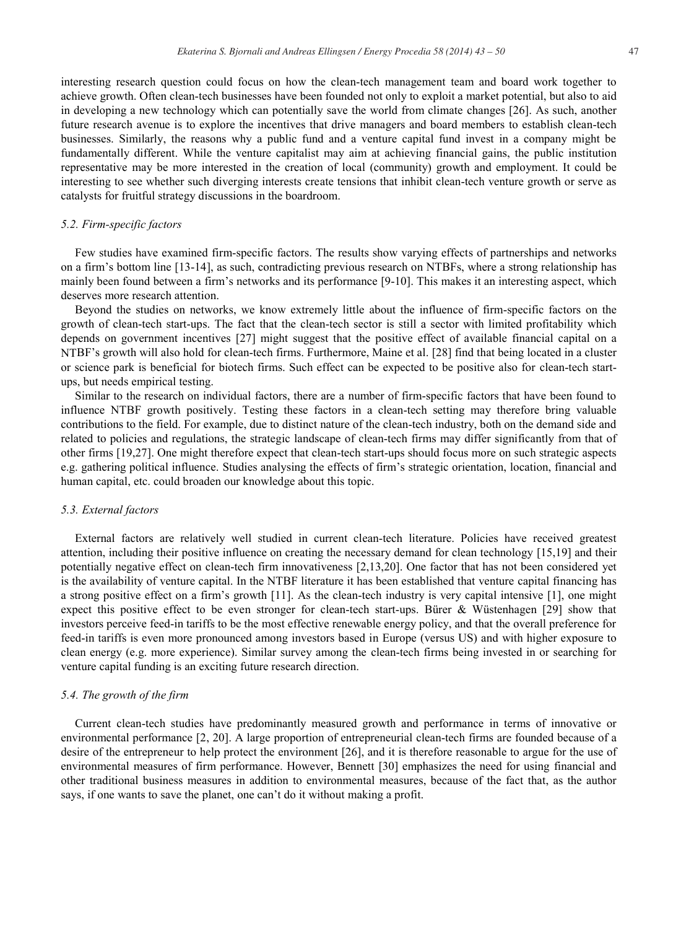interesting research question could focus on how the clean-tech management team and board work together to achieve growth. Often clean-tech businesses have been founded not only to exploit a market potential, but also to aid in developing a new technology which can potentially save the world from climate changes [26]. As such, another future research avenue is to explore the incentives that drive managers and board members to establish clean-tech businesses. Similarly, the reasons why a public fund and a venture capital fund invest in a company might be fundamentally different. While the venture capitalist may aim at achieving financial gains, the public institution representative may be more interested in the creation of local (community) growth and employment. It could be interesting to see whether such diverging interests create tensions that inhibit clean-tech venture growth or serve as catalysts for fruitful strategy discussions in the boardroom.

#### *5.2. Firm-specific factors*

Few studies have examined firm-specific factors. The results show varying effects of partnerships and networks on a firm's bottom line [13-14], as such, contradicting previous research on NTBFs, where a strong relationship has mainly been found between a firm's networks and its performance [9-10]. This makes it an interesting aspect, which deserves more research attention.

Beyond the studies on networks, we know extremely little about the influence of firm-specific factors on the growth of clean-tech start-ups. The fact that the clean-tech sector is still a sector with limited profitability which depends on government incentives [27] might suggest that the positive effect of available financial capital on a NTBF's growth will also hold for clean-tech firms. Furthermore, Maine et al. [28] find that being located in a cluster or science park is beneficial for biotech firms. Such effect can be expected to be positive also for clean-tech startups, but needs empirical testing.

Similar to the research on individual factors, there are a number of firm-specific factors that have been found to influence NTBF growth positively. Testing these factors in a clean-tech setting may therefore bring valuable contributions to the field. For example, due to distinct nature of the clean-tech industry, both on the demand side and related to policies and regulations, the strategic landscape of clean-tech firms may differ significantly from that of other firms [19,27]. One might therefore expect that clean-tech start-ups should focus more on such strategic aspects e.g. gathering political influence. Studies analysing the effects of firm's strategic orientation, location, financial and human capital, etc. could broaden our knowledge about this topic.

#### *5.3. External factors*

External factors are relatively well studied in current clean-tech literature. Policies have received greatest attention, including their positive influence on creating the necessary demand for clean technology [15,19] and their potentially negative effect on clean-tech firm innovativeness [2,13,20]. One factor that has not been considered yet is the availability of venture capital. In the NTBF literature it has been established that venture capital financing has a strong positive effect on a firm's growth [11]. As the clean-tech industry is very capital intensive [1], one might expect this positive effect to be even stronger for clean-tech start-ups. Bürer & Wüstenhagen [29] show that investors perceive feed-in tariffs to be the most effective renewable energy policy, and that the overall preference for feed-in tariffs is even more pronounced among investors based in Europe (versus US) and with higher exposure to clean energy (e.g. more experience). Similar survey among the clean-tech firms being invested in or searching for venture capital funding is an exciting future research direction.

# *5.4. The growth of the firm*

Current clean-tech studies have predominantly measured growth and performance in terms of innovative or environmental performance [2, 20]. A large proportion of entrepreneurial clean-tech firms are founded because of a desire of the entrepreneur to help protect the environment [26], and it is therefore reasonable to argue for the use of environmental measures of firm performance. However, Bennett [30] emphasizes the need for using financial and other traditional business measures in addition to environmental measures, because of the fact that, as the author says, if one wants to save the planet, one can't do it without making a profit.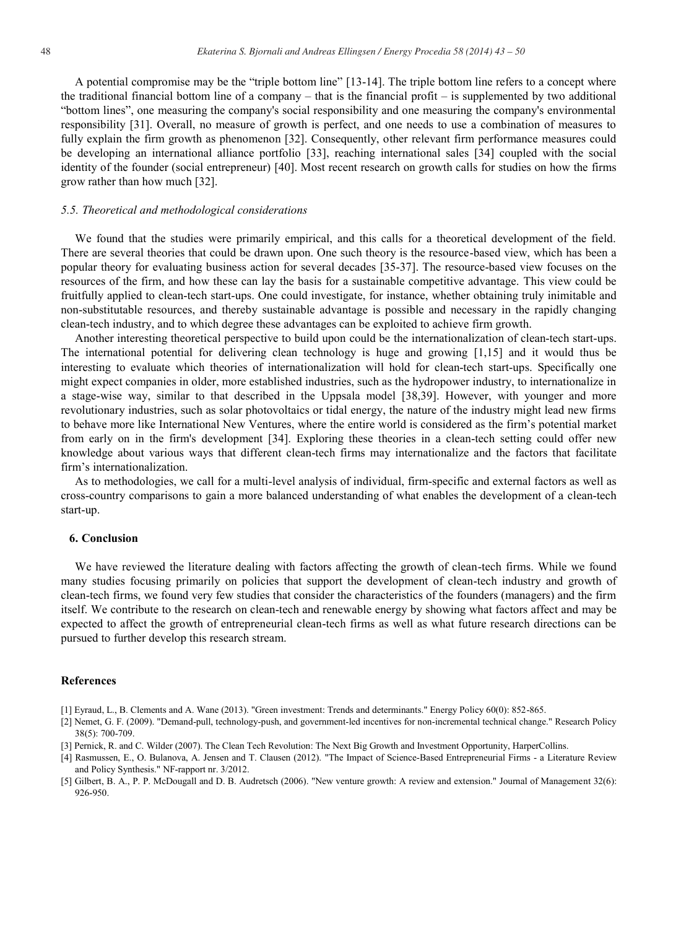A potential compromise may be the "triple bottom line" [13-14]. The triple bottom line refers to a concept where the traditional financial bottom line of a company – that is the financial profit – is supplemented by two additional "bottom lines", one measuring the company's social responsibility and one measuring the company's environmental responsibility [31]. Overall, no measure of growth is perfect, and one needs to use a combination of measures to fully explain the firm growth as phenomenon [32]. Consequently, other relevant firm performance measures could be developing an international alliance portfolio [33], reaching international sales [34] coupled with the social identity of the founder (social entrepreneur) [40]. Most recent research on growth calls for studies on how the firms grow rather than how much [32].

#### *5.5. Theoretical and methodological considerations*

We found that the studies were primarily empirical, and this calls for a theoretical development of the field. There are several theories that could be drawn upon. One such theory is the resource-based view, which has been a popular theory for evaluating business action for several decades [35-37]. The resource-based view focuses on the resources of the firm, and how these can lay the basis for a sustainable competitive advantage. This view could be fruitfully applied to clean-tech start-ups. One could investigate, for instance, whether obtaining truly inimitable and non-substitutable resources, and thereby sustainable advantage is possible and necessary in the rapidly changing clean-tech industry, and to which degree these advantages can be exploited to achieve firm growth.

Another interesting theoretical perspective to build upon could be the internationalization of clean-tech start-ups. The international potential for delivering clean technology is huge and growing [1,15] and it would thus be interesting to evaluate which theories of internationalization will hold for clean-tech start-ups. Specifically one might expect companies in older, more established industries, such as the hydropower industry, to internationalize in a stage-wise way, similar to that described in the Uppsala model [38,39]. However, with younger and more revolutionary industries, such as solar photovoltaics or tidal energy, the nature of the industry might lead new firms to behave more like International New Ventures, where the entire world is considered as the firm's potential market from early on in the firm's development [34]. Exploring these theories in a clean-tech setting could offer new knowledge about various ways that different clean-tech firms may internationalize and the factors that facilitate firm's internationalization.

As to methodologies, we call for a multi-level analysis of individual, firm-specific and external factors as well as cross-country comparisons to gain a more balanced understanding of what enables the development of a clean-tech start-up.

# **6. Conclusion**

We have reviewed the literature dealing with factors affecting the growth of clean-tech firms. While we found many studies focusing primarily on policies that support the development of clean-tech industry and growth of clean-tech firms, we found very few studies that consider the characteristics of the founders (managers) and the firm itself. We contribute to the research on clean-tech and renewable energy by showing what factors affect and may be expected to affect the growth of entrepreneurial clean-tech firms as well as what future research directions can be pursued to further develop this research stream.

#### **References**

- [1] Eyraud, L., B. Clements and A. Wane (2013). "Green investment: Trends and determinants." Energy Policy 60(0): 852-865.
- [2] Nemet, G. F. (2009). "Demand-pull, technology-push, and government-led incentives for non-incremental technical change." Research Policy 38(5): 700-709.
- [3] Pernick, R. and C. Wilder (2007). The Clean Tech Revolution: The Next Big Growth and Investment Opportunity, HarperCollins.
- [4] Rasmussen, E., O. Bulanova, A. Jensen and T. Clausen (2012). "The Impact of Science-Based Entrepreneurial Firms a Literature Review and Policy Synthesis." NF-rapport nr. 3/2012.
- [5] Gilbert, B. A., P. P. McDougall and D. B. Audretsch (2006). "New venture growth: A review and extension." Journal of Management 32(6): 926-950.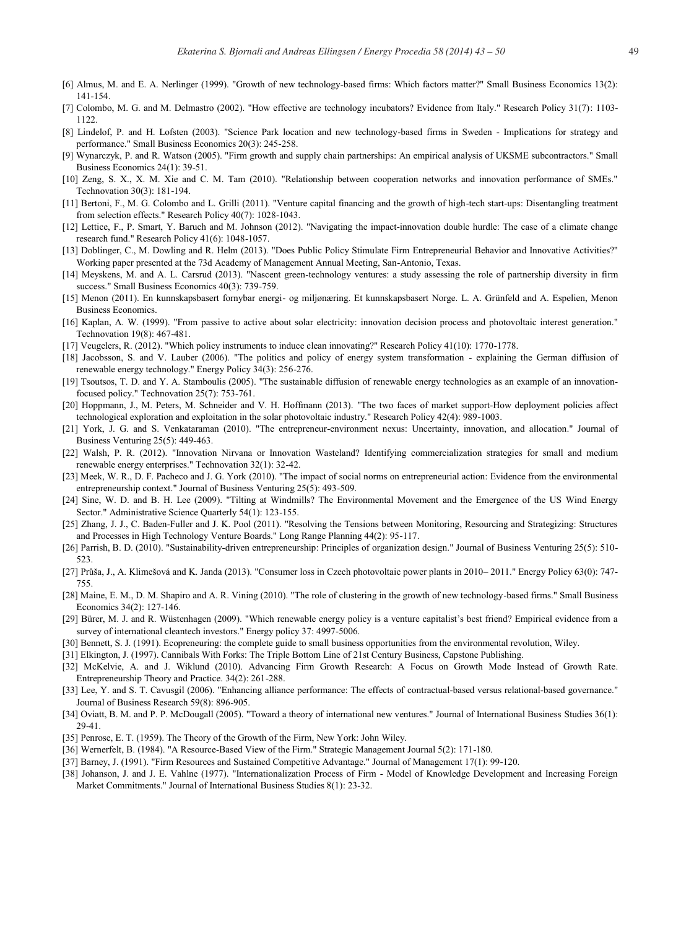- [6] Almus, M. and E. A. Nerlinger (1999). "Growth of new technology-based firms: Which factors matter?" Small Business Economics 13(2): 141-154.
- [7] Colombo, M. G. and M. Delmastro (2002). "How effective are technology incubators? Evidence from Italy." Research Policy 31(7): 1103-1122.
- [8] Lindelof, P. and H. Lofsten (2003). "Science Park location and new technology-based firms in Sweden Implications for strategy and performance." Small Business Economics 20(3): 245-258.
- [9] Wynarczyk, P. and R. Watson (2005). "Firm growth and supply chain partnerships: An empirical analysis of UKSME subcontractors." Small Business Economics 24(1): 39-51.
- [10] Zeng, S. X., X. M. Xie and C. M. Tam (2010). "Relationship between cooperation networks and innovation performance of SMEs." Technovation 30(3): 181-194.
- [11] Bertoni, F., M. G. Colombo and L. Grilli (2011). "Venture capital financing and the growth of high-tech start-ups: Disentangling treatment from selection effects." Research Policy 40(7): 1028-1043.
- [12] Lettice, F., P. Smart, Y. Baruch and M. Johnson (2012). "Navigating the impact-innovation double hurdle: The case of a climate change research fund." Research Policy 41(6): 1048-1057.
- [13] Doblinger, C., M. Dowling and R. Helm (2013). "Does Public Policy Stimulate Firm Entrepreneurial Behavior and Innovative Activities?" Working paper presented at the 73d Academy of Management Annual Meeting, San-Antonio, Texas.
- [14] Meyskens, M. and A. L. Carsrud (2013). "Nascent green-technology ventures: a study assessing the role of partnership diversity in firm success." Small Business Economics 40(3): 739-759.
- [15] Menon (2011). En kunnskapsbasert fornybar energi- og miljønæring. Et kunnskapsbasert Norge. L. A. Grünfeld and A. Espelien, Menon Business Economics.
- [16] Kaplan, A. W. (1999). "From passive to active about solar electricity: innovation decision process and photovoltaic interest generation." Technovation 19(8): 467-481.
- [17] Veugelers, R. (2012). "Which policy instruments to induce clean innovating?" Research Policy 41(10): 1770-1778.
- [18] Jacobsson, S. and V. Lauber (2006). "The politics and policy of energy system transformation explaining the German diffusion of renewable energy technology." Energy Policy 34(3): 256-276.
- [19] Tsoutsos, T. D. and Y. A. Stamboulis (2005). "The sustainable diffusion of renewable energy technologies as an example of an innovationfocused policy." Technovation 25(7): 753-761.
- [20] Hoppmann, J., M. Peters, M. Schneider and V. H. Hoffmann (2013). "The two faces of market support-How deployment policies affect technological exploration and exploitation in the solar photovoltaic industry." Research Policy 42(4): 989-1003.
- [21] York, J. G. and S. Venkataraman (2010). "The entrepreneur-environment nexus: Uncertainty, innovation, and allocation." Journal of Business Venturing 25(5): 449-463.
- [22] Walsh, P. R. (2012). "Innovation Nirvana or Innovation Wasteland? Identifying commercialization strategies for small and medium renewable energy enterprises." Technovation 32(1): 32-42.
- [23] Meek, W. R., D. F. Pacheco and J. G. York (2010). "The impact of social norms on entrepreneurial action: Evidence from the environmental entrepreneurship context." Journal of Business Venturing 25(5): 493-509.
- [24] Sine, W. D. and B. H. Lee (2009). "Tilting at Windmills? The Environmental Movement and the Emergence of the US Wind Energy Sector." Administrative Science Quarterly 54(1): 123-155.
- [25] Zhang, J. J., C. Baden-Fuller and J. K. Pool (2011). "Resolving the Tensions between Monitoring, Resourcing and Strategizing: Structures and Processes in High Technology Venture Boards." Long Range Planning 44(2): 95-117.
- [26] Parrish, B. D. (2010). "Sustainability-driven entrepreneurship: Principles of organization design." Journal of Business Venturing 25(5): 510- 523.
- [27] Průša, J., A. Klimešová and K. Janda (2013). "Consumer loss in Czech photovoltaic power plants in 2010– 2011." Energy Policy 63(0): 747- 755.
- [28] Maine, E. M., D. M. Shapiro and A. R. Vining (2010). "The role of clustering in the growth of new technology-based firms." Small Business Economics 34(2): 127-146.
- [29] Bürer, M. J. and R. Wüstenhagen (2009). "Which renewable energy policy is a venture capitalist's best friend? Empirical evidence from a survey of international cleantech investors." Energy policy 37: 4997-5006.
- [30] Bennett, S. J. (1991). Ecopreneuring: the complete guide to small business opportunities from the environmental revolution, Wiley.
- [31] Elkington, J. (1997). Cannibals With Forks: The Triple Bottom Line of 21st Century Business, Capstone Publishing.
- [32] McKelvie, A. and J. Wiklund (2010). Advancing Firm Growth Research: A Focus on Growth Mode Instead of Growth Rate. Entrepreneurship Theory and Practice. 34(2): 261-288.
- [33] Lee, Y. and S. T. Cavusgil (2006). "Enhancing alliance performance: The effects of contractual-based versus relational-based governance." Journal of Business Research 59(8): 896-905.
- [34] Oviatt, B. M. and P. P. McDougall (2005). "Toward a theory of international new ventures." Journal of International Business Studies 36(1): 29-41.
- [35] Penrose, E. T. (1959). The Theory of the Growth of the Firm, New York: John Wiley.
- [36] Wernerfelt, B. (1984). "A Resource-Based View of the Firm." Strategic Management Journal 5(2): 171-180.
- [37] Barney, J. (1991). "Firm Resources and Sustained Competitive Advantage." Journal of Management 17(1): 99-120.
- [38] Johanson, J. and J. E. Vahlne (1977). "Internationalization Process of Firm Model of Knowledge Development and Increasing Foreign Market Commitments." Journal of International Business Studies 8(1): 23-32.